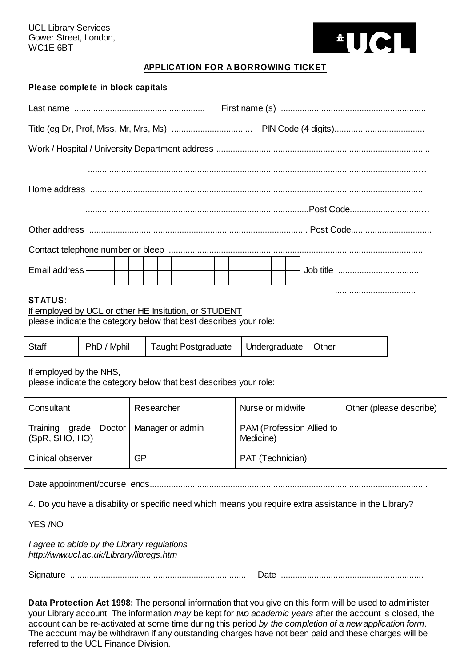UCL Library Services Gower Street, London, WC1E 6BT



## **APPLICATION FOR A BORROWING TICKET**

| Please complete in block capitals                     |  |
|-------------------------------------------------------|--|
|                                                       |  |
|                                                       |  |
|                                                       |  |
|                                                       |  |
|                                                       |  |
|                                                       |  |
| Email address                                         |  |
| <b>STATUS:</b>                                        |  |
| If employed by UCL or other HE Insitution, or STUDENT |  |

please indicate the category below that best describes your role:

|--|

If employed by the NHS,

please indicate the category below that best describes your role:

| Consultant                                                 | Researcher | Nurse or midwife                       | Other (please describe) |
|------------------------------------------------------------|------------|----------------------------------------|-------------------------|
| Training grade Doctor   Manager or admin<br>(SpR, SHO, HO) |            | PAM (Profession Allied to<br>Medicine) |                         |
| <b>Clinical observer</b>                                   | GP         | PAT (Technician)                       |                         |

Date appointment/course ends.....................................................................................................................

4. Do you have a disability or specific need which means you require extra assistance in the Library?

YES /NO

*I agree to abide by the Library regulations http://www.ucl.ac.uk/Library/libregs.htm*

Signature .......................................................................... Date ............................................................

**Data Protection Act 1998:** The personal information that you give on this form will be used to administer your Library account. The information *may* be kept for *two academic years* after the account is closed, the account can be re-activated at some time during this period *by the completion of a new application form*. The account may be withdrawn if any outstanding charges have not been paid and these charges will be referred to the UCL Finance Division.